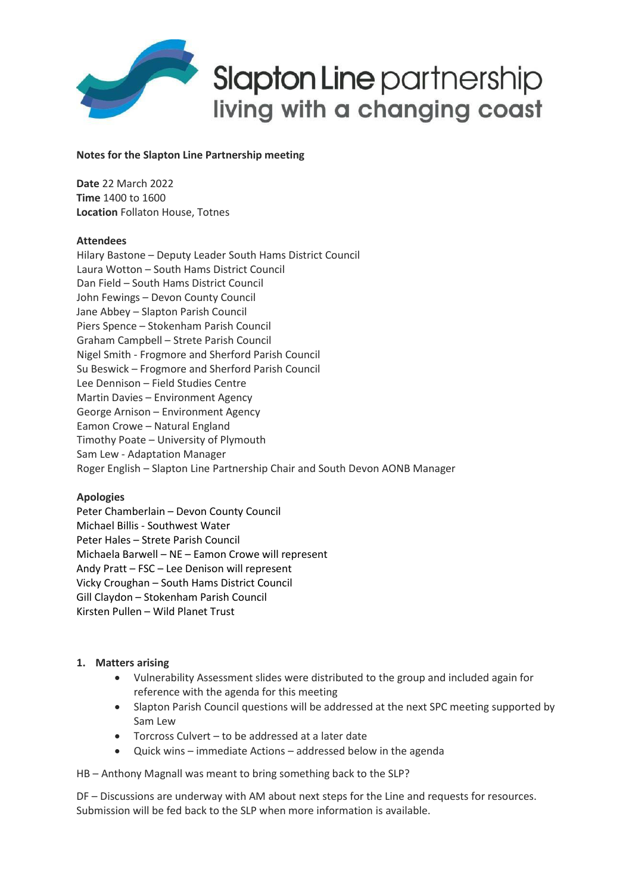

# **Notes for the Slapton Line Partnership meeting**

**Date** 22 March 2022 **Time** 1400 to 1600 **Location** Follaton House, Totnes

### **Attendees**

Hilary Bastone – Deputy Leader South Hams District Council Laura Wotton – South Hams District Council Dan Field – South Hams District Council John Fewings – Devon County Council Jane Abbey – Slapton Parish Council Piers Spence – Stokenham Parish Council Graham Campbell – Strete Parish Council Nigel Smith - Frogmore and Sherford Parish Council Su Beswick – Frogmore and Sherford Parish Council Lee Dennison – Field Studies Centre Martin Davies – Environment Agency George Arnison – Environment Agency Eamon Crowe – Natural England Timothy Poate – University of Plymouth Sam Lew - Adaptation Manager Roger English – Slapton Line Partnership Chair and South Devon AONB Manager

### **Apologies**

Peter Chamberlain – Devon County Council Michael Billis - Southwest Water Peter Hales – Strete Parish Council Michaela Barwell – NE – Eamon Crowe will represent Andy Pratt – FSC – Lee Denison will represent Vicky Croughan – South Hams District Council Gill Claydon – Stokenham Parish Council Kirsten Pullen – Wild Planet Trust

### **1. Matters arising**

- Vulnerability Assessment slides were distributed to the group and included again for reference with the agenda for this meeting
- Slapton Parish Council questions will be addressed at the next SPC meeting supported by Sam Lew
- Torcross Culvert to be addressed at a later date
- Quick wins immediate Actions addressed below in the agenda

HB – Anthony Magnall was meant to bring something back to the SLP?

DF – Discussions are underway with AM about next steps for the Line and requests for resources. Submission will be fed back to the SLP when more information is available.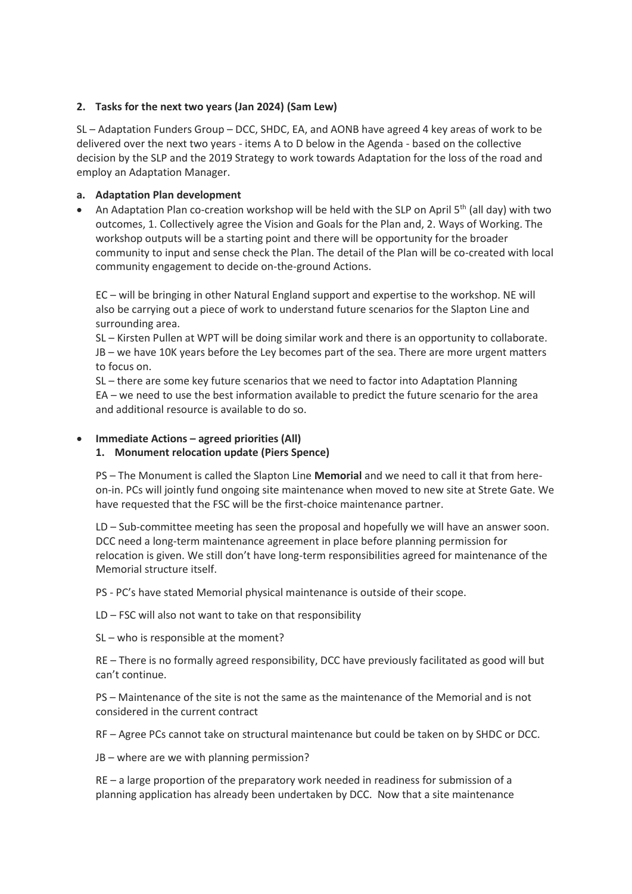# **2. Tasks for the next two years (Jan 2024) (Sam Lew)**

SL – Adaptation Funders Group – DCC, SHDC, EA, and AONB have agreed 4 key areas of work to be delivered over the next two years - items A to D below in the Agenda - based on the collective decision by the SLP and the 2019 Strategy to work towards Adaptation for the loss of the road and employ an Adaptation Manager.

# **a. Adaptation Plan development**

• An Adaptation Plan co-creation workshop will be held with the SLP on April  $5<sup>th</sup>$  (all day) with two outcomes, 1. Collectively agree the Vision and Goals for the Plan and, 2. Ways of Working. The workshop outputs will be a starting point and there will be opportunity for the broader community to input and sense check the Plan. The detail of the Plan will be co-created with local community engagement to decide on-the-ground Actions.

EC – will be bringing in other Natural England support and expertise to the workshop. NE will also be carrying out a piece of work to understand future scenarios for the Slapton Line and surrounding area.

SL – Kirsten Pullen at WPT will be doing similar work and there is an opportunity to collaborate. JB – we have 10K years before the Ley becomes part of the sea. There are more urgent matters to focus on.

SL – there are some key future scenarios that we need to factor into Adaptation Planning EA – we need to use the best information available to predict the future scenario for the area and additional resource is available to do so.

# • **Immediate Actions – agreed priorities (All)**

## **1. Monument relocation update (Piers Spence)**

PS – The Monument is called the Slapton Line **Memorial** and we need to call it that from hereon-in. PCs will jointly fund ongoing site maintenance when moved to new site at Strete Gate. We have requested that the FSC will be the first-choice maintenance partner.

LD – Sub-committee meeting has seen the proposal and hopefully we will have an answer soon. DCC need a long-term maintenance agreement in place before planning permission for relocation is given. We still don't have long-term responsibilities agreed for maintenance of the Memorial structure itself.

PS - PC's have stated Memorial physical maintenance is outside of their scope.

LD – FSC will also not want to take on that responsibility

SL – who is responsible at the moment?

RE – There is no formally agreed responsibility, DCC have previously facilitated as good will but can't continue.

PS – Maintenance of the site is not the same as the maintenance of the Memorial and is not considered in the current contract

RF – Agree PCs cannot take on structural maintenance but could be taken on by SHDC or DCC.

JB – where are we with planning permission?

RE – a large proportion of the preparatory work needed in readiness for submission of a planning application has already been undertaken by DCC. Now that a site maintenance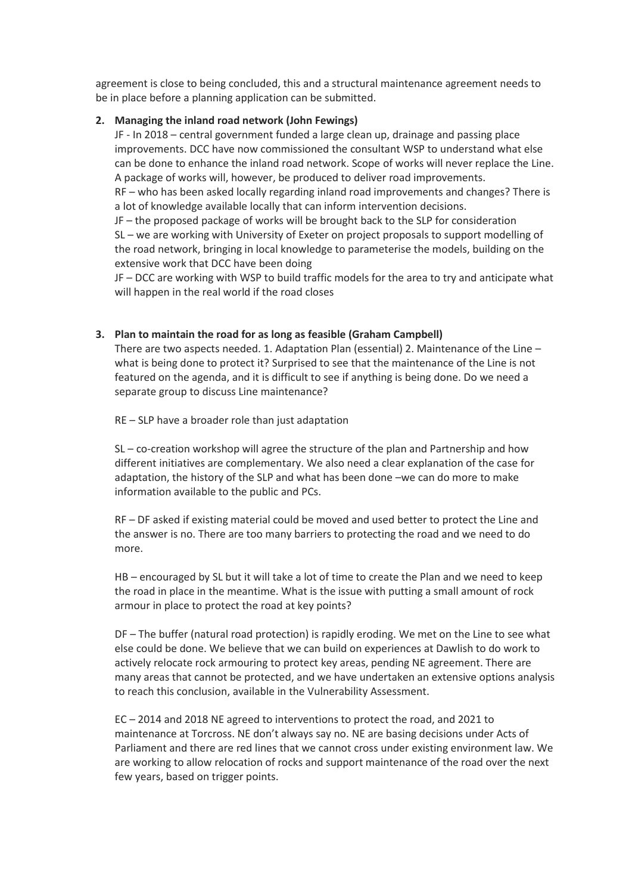agreement is close to being concluded, this and a structural maintenance agreement needs to be in place before a planning application can be submitted.

### **2. Managing the inland road network (John Fewings)**

JF - In 2018 – central government funded a large clean up, drainage and passing place improvements. DCC have now commissioned the consultant WSP to understand what else can be done to enhance the inland road network. Scope of works will never replace the Line. A package of works will, however, be produced to deliver road improvements.

RF – who has been asked locally regarding inland road improvements and changes? There is a lot of knowledge available locally that can inform intervention decisions.

JF – the proposed package of works will be brought back to the SLP for consideration SL – we are working with University of Exeter on project proposals to support modelling of the road network, bringing in local knowledge to parameterise the models, building on the extensive work that DCC have been doing

JF – DCC are working with WSP to build traffic models for the area to try and anticipate what will happen in the real world if the road closes

#### **3. Plan to maintain the road for as long as feasible (Graham Campbell)**

There are two aspects needed. 1. Adaptation Plan (essential) 2. Maintenance of the Line – what is being done to protect it? Surprised to see that the maintenance of the Line is not featured on the agenda, and it is difficult to see if anything is being done. Do we need a separate group to discuss Line maintenance?

RE – SLP have a broader role than just adaptation

SL – co-creation workshop will agree the structure of the plan and Partnership and how different initiatives are complementary. We also need a clear explanation of the case for adaptation, the history of the SLP and what has been done –we can do more to make information available to the public and PCs.

RF – DF asked if existing material could be moved and used better to protect the Line and the answer is no. There are too many barriers to protecting the road and we need to do more.

HB – encouraged by SL but it will take a lot of time to create the Plan and we need to keep the road in place in the meantime. What is the issue with putting a small amount of rock armour in place to protect the road at key points?

DF – The buffer (natural road protection) is rapidly eroding. We met on the Line to see what else could be done. We believe that we can build on experiences at Dawlish to do work to actively relocate rock armouring to protect key areas, pending NE agreement. There are many areas that cannot be protected, and we have undertaken an extensive options analysis to reach this conclusion, available in the Vulnerability Assessment.

EC – 2014 and 2018 NE agreed to interventions to protect the road, and 2021 to maintenance at Torcross. NE don't always say no. NE are basing decisions under Acts of Parliament and there are red lines that we cannot cross under existing environment law. We are working to allow relocation of rocks and support maintenance of the road over the next few years, based on trigger points.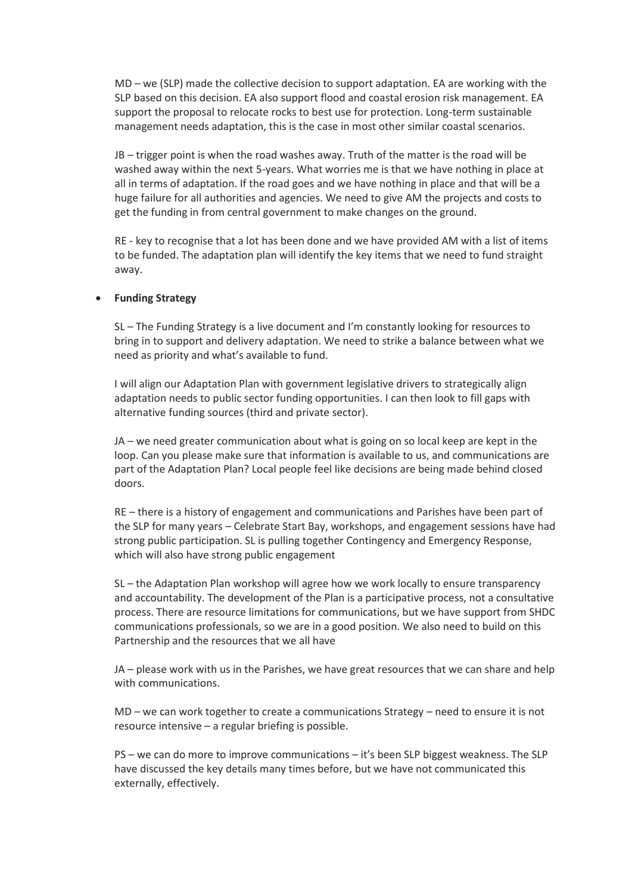MD – we (SLP) made the collective decision to support adaptation. EA are working with the SLP based on this decision. EA also support flood and coastal erosion risk management. EA support the proposal to relocate rocks to best use for protection. Long-term sustainable management needs adaptation, this is the case in most other similar coastal scenarios.

JB – trigger point is when the road washes away. Truth of the matter is the road will be washed away within the next 5-years. What worries me is that we have nothing in place at all in terms of adaptation. If the road goes and we have nothing in place and that will be a huge failure for all authorities and agencies. We need to give AM the projects and costs to get the funding in from central government to make changes on the ground.

RE - key to recognise that a lot has been done and we have provided AM with a list of items to be funded. The adaptation plan will identify the key items that we need to fund straight away.

### • **Funding Strategy**

SL – The Funding Strategy is a live document and I'm constantly looking for resources to bring in to support and delivery adaptation. We need to strike a balance between what we need as priority and what's available to fund.

I will align our Adaptation Plan with government legislative drivers to strategically align adaptation needs to public sector funding opportunities. I can then look to fill gaps with alternative funding sources (third and private sector).

JA – we need greater communication about what is going on so local keep are kept in the loop. Can you please make sure that information is available to us, and communications are part of the Adaptation Plan? Local people feel like decisions are being made behind closed doors.

RE – there is a history of engagement and communications and Parishes have been part of the SLP for many years – Celebrate Start Bay, workshops, and engagement sessions have had strong public participation. SL is pulling together Contingency and Emergency Response, which will also have strong public engagement

SL – the Adaptation Plan workshop will agree how we work locally to ensure transparency and accountability. The development of the Plan is a participative process, not a consultative process. There are resource limitations for communications, but we have support from SHDC communications professionals, so we are in a good position. We also need to build on this Partnership and the resources that we all have

JA – please work with us in the Parishes, we have great resources that we can share and help with communications.

MD – we can work together to create a communications Strategy – need to ensure it is not resource intensive – a regular briefing is possible.

PS – we can do more to improve communications – it's been SLP biggest weakness. The SLP have discussed the key details many times before, but we have not communicated this externally, effectively.